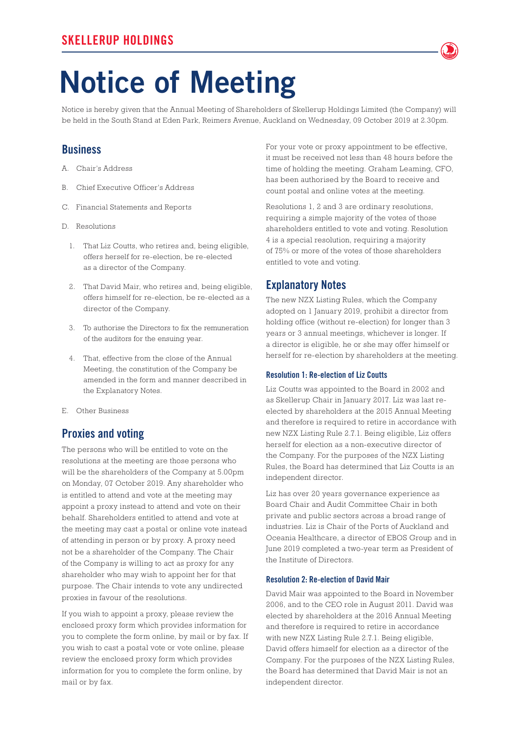# **Notice of Meeting**

Notice is hereby given that the Annual Meeting of Shareholders of Skellerup Holdings Limited (the Company) will be held in the South Stand at Eden Park, Reimers Avenue, Auckland on Wednesday, 09 October 2019 at 2.30pm.

## **Business**

- A. Chair's Address
- B. Chief Executive Officer's Address
- C. Financial Statements and Reports
- D. Resolutions
	- 1. That Liz Coutts, who retires and, being eligible, offers herself for re-election, be re-elected as a director of the Company.
	- 2. That David Mair, who retires and, being eligible, offers himself for re-election, be re-elected as a director of the Company.
	- 3. To authorise the Directors to fix the remuneration of the auditors for the ensuing year.
	- 4. That, effective from the close of the Annual Meeting, the constitution of the Company be amended in the form and manner described in the Explanatory Notes.
- E. Other Business

# **Proxies and voting**

The persons who will be entitled to vote on the resolutions at the meeting are those persons who will be the shareholders of the Company at 5.00pm on Monday, 07 October 2019. Any shareholder who is entitled to attend and vote at the meeting may appoint a proxy instead to attend and vote on their behalf. Shareholders entitled to attend and vote at the meeting may cast a postal or online vote instead of attending in person or by proxy. A proxy need not be a shareholder of the Company. The Chair of the Company is willing to act as proxy for any shareholder who may wish to appoint her for that purpose. The Chair intends to vote any undirected proxies in favour of the resolutions.

If you wish to appoint a proxy, please review the enclosed proxy form which provides information for you to complete the form online, by mail or by fax. If you wish to cast a postal vote or vote online, please review the enclosed proxy form which provides information for you to complete the form online, by mail or by fax.

For your vote or proxy appointment to be effective, it must be received not less than 48 hours before the time of holding the meeting. Graham Leaming, CFO, has been authorised by the Board to receive and count postal and online votes at the meeting.

Resolutions 1, 2 and 3 are ordinary resolutions, requiring a simple majority of the votes of those shareholders entitled to vote and voting. Resolution 4 is a special resolution, requiring a majority of 75% or more of the votes of those shareholders entitled to vote and voting.

## **Explanatory Notes**

The new NZX Listing Rules, which the Company adopted on 1 January 2019, prohibit a director from holding office (without re-election) for longer than 3 years or 3 annual meetings, whichever is longer. If a director is eligible, he or she may offer himself or herself for re-election by shareholders at the meeting.

#### **Resolution 1: Re-election of Liz Coutts**

Liz Coutts was appointed to the Board in 2002 and as Skellerup Chair in January 2017. Liz was last reelected by shareholders at the 2015 Annual Meeting and therefore is required to retire in accordance with new NZX Listing Rule 2.7.1. Being eligible, Liz offers herself for election as a non-executive director of the Company. For the purposes of the NZX Listing Rules, the Board has determined that Liz Coutts is an independent director.

Liz has over 20 years governance experience as Board Chair and Audit Committee Chair in both private and public sectors across a broad range of industries. Liz is Chair of the Ports of Auckland and Oceania Healthcare, a director of EBOS Group and in June 2019 completed a two-year term as President of the Institute of Directors.

### **Resolution 2: Re-election of David Mair**

David Mair was appointed to the Board in November 2006, and to the CEO role in August 2011. David was elected by shareholders at the 2016 Annual Meeting and therefore is required to retire in accordance with new NZX Listing Rule 2.7.1. Being eligible, David offers himself for election as a director of the Company. For the purposes of the NZX Listing Rules, the Board has determined that David Mair is not an independent director.